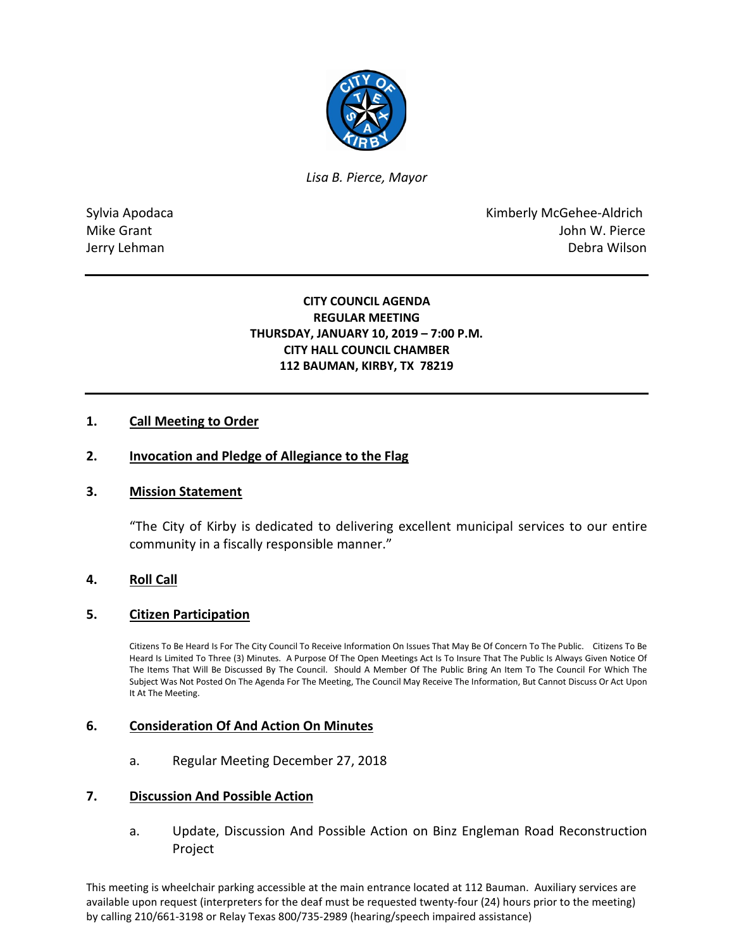

*Lisa B. Pierce, Mayor* 

Sylvia Apodaca **Kimberly McGehee-Aldrich** Mike Grant **Mike Grant** John W. Pierce Jerry Lehman Debra Wilson

# **CITY COUNCIL AGENDA REGULAR MEETING THURSDAY, JANUARY 10, 2019 – 7:00 P.M. CITY HALL COUNCIL CHAMBER 112 BAUMAN, KIRBY, TX 78219**

# **1. Call Meeting to Order**

### **2. Invocation and Pledge of Allegiance to the Flag**

### **3. Mission Statement**

"The City of Kirby is dedicated to delivering excellent municipal services to our entire community in a fiscally responsible manner."

### **4. Roll Call**

### **5. Citizen Participation**

Citizens To Be Heard Is For The City Council To Receive Information On Issues That May Be Of Concern To The Public. Citizens To Be Heard Is Limited To Three (3) Minutes. A Purpose Of The Open Meetings Act Is To Insure That The Public Is Always Given Notice Of The Items That Will Be Discussed By The Council. Should A Member Of The Public Bring An Item To The Council For Which The Subject Was Not Posted On The Agenda For The Meeting, The Council May Receive The Information, But Cannot Discuss Or Act Upon It At The Meeting.

### **6. Consideration Of And Action On Minutes**

a. Regular Meeting December 27, 2018

#### **7. Discussion And Possible Action**

a. Update, Discussion And Possible Action on Binz Engleman Road Reconstruction Project

This meeting is wheelchair parking accessible at the main entrance located at 112 Bauman. Auxiliary services are available upon request (interpreters for the deaf must be requested twenty-four (24) hours prior to the meeting) by calling 210/661-3198 or Relay Texas 800/735-2989 (hearing/speech impaired assistance)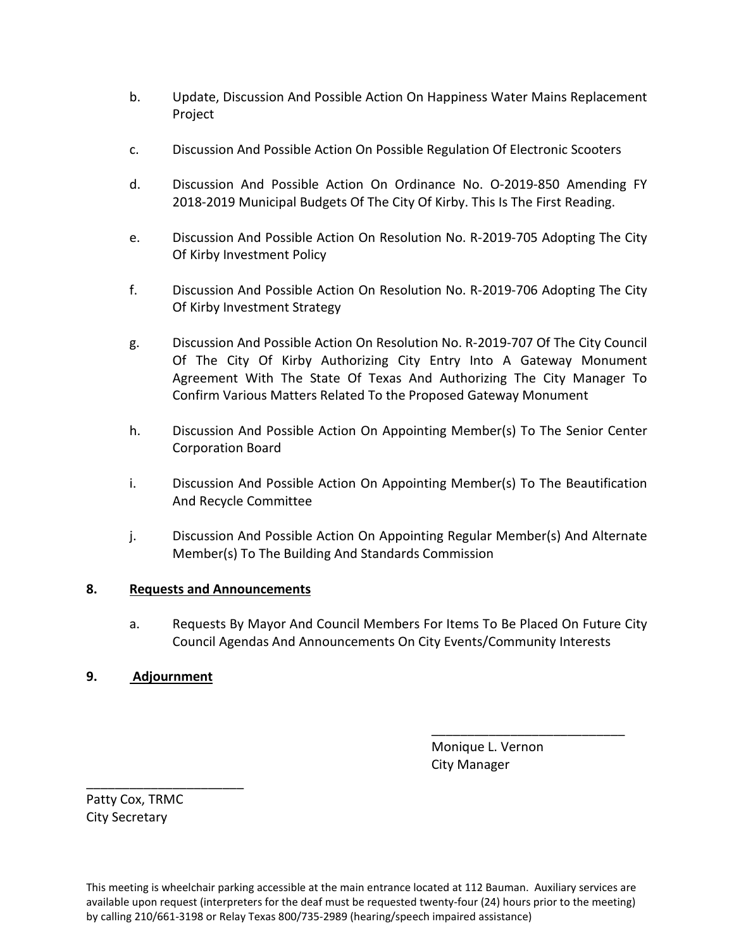- b. Update, Discussion And Possible Action On Happiness Water Mains Replacement Project
- c. Discussion And Possible Action On Possible Regulation Of Electronic Scooters
- d. Discussion And Possible Action On Ordinance No. O-2019-850 Amending FY 2018-2019 Municipal Budgets Of The City Of Kirby. This Is The First Reading.
- e. Discussion And Possible Action On Resolution No. R-2019-705 Adopting The City Of Kirby Investment Policy
- f. Discussion And Possible Action On Resolution No. R-2019-706 Adopting The City Of Kirby Investment Strategy
- g. Discussion And Possible Action On Resolution No. R-2019-707 Of The City Council Of The City Of Kirby Authorizing City Entry Into A Gateway Monument Agreement With The State Of Texas And Authorizing The City Manager To Confirm Various Matters Related To the Proposed Gateway Monument
- h. Discussion And Possible Action On Appointing Member(s) To The Senior Center Corporation Board
- i. Discussion And Possible Action On Appointing Member(s) To The Beautification And Recycle Committee
- j. Discussion And Possible Action On Appointing Regular Member(s) And Alternate Member(s) To The Building And Standards Commission

# **8. Requests and Announcements**

a. Requests By Mayor And Council Members For Items To Be Placed On Future City Council Agendas And Announcements On City Events/Community Interests

\_\_\_\_\_\_\_\_\_\_\_\_\_\_\_\_\_\_\_\_\_\_\_\_\_\_\_

# **9. Adjournment**

 Monique L. Vernon City Manager

Patty Cox, TRMC City Secretary

\_\_\_\_\_\_\_\_\_\_\_\_\_\_\_\_\_\_\_\_\_\_

This meeting is wheelchair parking accessible at the main entrance located at 112 Bauman. Auxiliary services are available upon request (interpreters for the deaf must be requested twenty-four (24) hours prior to the meeting) by calling 210/661-3198 or Relay Texas 800/735-2989 (hearing/speech impaired assistance)